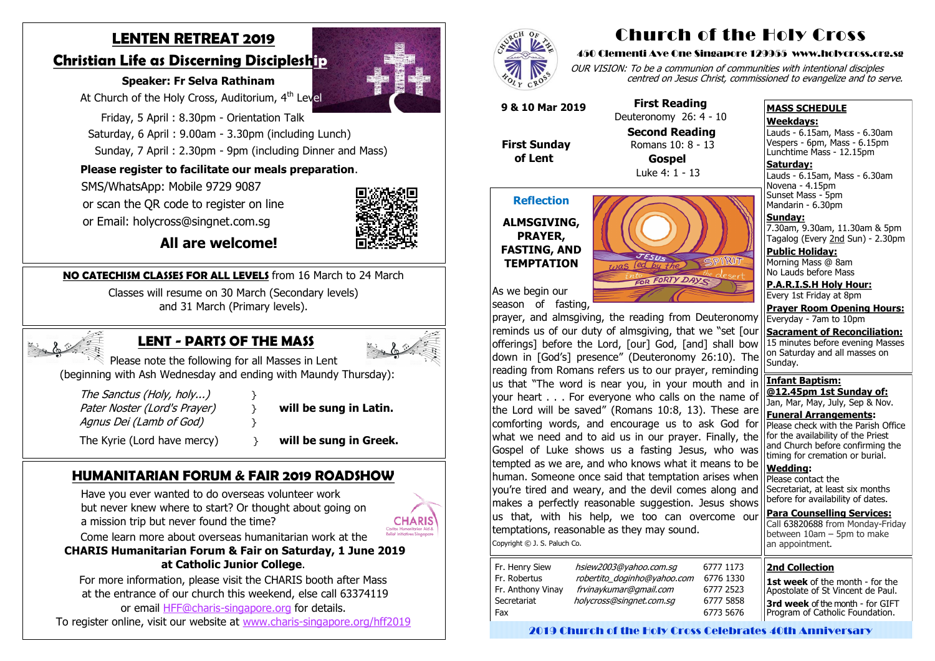# **LENTEN RETREAT 2019**

# **Christian Life as Discerning Discipleship**

#### **Speaker: Fr Selva Rathinam**

At Church of the Holy Cross, Auditorium, 4<sup>th</sup> Level

 Friday, 5 April : 8.30pm - Orientation Talk Saturday, 6 April : 9.00am - 3.30pm (including Lunch) Sunday, 7 April : 2.30pm - 9pm (including Dinner and Mass)

### **Please register to facilitate our meals preparation**.

SMS/WhatsApp: Mobile 9729 9087

or scan the QR code to register on line

or Email: holycross@singnet.com.sg



 **All are welcome!**

# **LENT - PARTS OF THE MASS**



Please note the following for all Masses in Lent (beginning with Ash Wednesday and ending with Maundy Thursday):

The Sanctus (Holy, holy...)  $\}$ Pater Noster (Lord's Prayer) **}** will be sung in Latin. Agnus Dei (Lamb of God)

The Kyrie (Lord have mercy) **a will be sung in Greek.** 

# **HUMANITARIAN FORUM & FAIR 2019 ROADSHOW**

Have you ever wanted to do overseas volunteer work but never knew where to start? Or thought about going on a mission trip but never found the time?



Come learn more about overseas humanitarian work at the

Lauds - 6.15am, Mass - 6.30am Novena - 4.15pm Sunset Mass - 5pm Mandarin - 6.30pm

**CHARIS Humanitarian Forum & Fair on Saturday, 1 June 2019 at Catholic Junior College**.

For more information, please visit the CHARIS booth after Mass at the entrance of our church this weekend, else call 63374119 or email HFF@charis-[singapore.org](mailto:HFF@charis-singapore.org) for details.

To register online, visit our website at www.charis-[singapore.org/hff2019](http://www.charis-singapore.org/hff2019)



**NO CATECHISM CLASSES FOR ALL LEVELS** from 16 March to 24 March

Classes will resume on 30 March (Secondary levels) and 31 March (Primary levels).



# Church of the Holy Cross

#### 450 Clementi Ave One Singapore 129955 www.holycross.org.sg

OUR VISION: To be a communion of communities with intentional disciples centred on Jesus Christ, commissioned to evangelize and to serve.

| Fr. Henry Siew<br>Fr. Robertus | hsiew2003@yahoo.com.sq<br>robertito_doginho@yahoo.com | 6777 1173<br>6776 1330 |
|--------------------------------|-------------------------------------------------------|------------------------|
| Fr. Anthony Vinay              | frvinaykumar@gmail.com                                | 6777 2523              |
| Secretariat                    | holycross@singnet.com.sg                              | 6777 5858              |
| Fax                            |                                                       | 6773 5676              |

| 777 1173  |
|-----------|
| 5776 1330 |
| 5777 2523 |
| 5777 5858 |
| 5773 5676 |

#### **MASS SCHEDULE**

#### **Weekdays:**

Lauds - 6.15am, Mass - 6.30am Vespers - 6pm, Mass - 6.15pm Lunchtime Mass - 12.15pm

**Saturday:**

**Sunday:** 7.30am, 9.30am, 11.30am & 5pm Tagalog (Every 2nd Sun) - 2.30pm

**Public Holiday:**  Morning Mass @ 8am No Lauds before Mass

**P.A.R.I.S.H Holy Hour:** Every 1st Friday at 8pm

**Prayer Room Opening Hours:**

#### **Reflection**

#### **ALMSGIVING, PRAYER, FASTING, AND TEMPTATION**



As we begin our season of fasting,

Everyday - 7am to 10pm **Sacrament of Reconciliation:** 15 minutes before evening Masses on Saturday and all masses on Sunday. **Infant Baptism: @12.45pm 1st Sunday of:** Jan, Mar, May, July, Sep & Nov. **Funeral Arrangements:**  Please check with the Parish Office for the availability of the Priest and Church before confirming the timing for cremation or burial. **Wedding:**  Please contact the Secretariat, at least six months before for availability of dates. **Para Counselling Services:** Call [63820688](tel:+6563820688) from Monday-Friday between  $10$ am – 5pm to make an appointment. prayer, and almsgiving, the reading from Deuteronomy reminds us of our duty of almsgiving, that we "set [our offerings] before the Lord, [our] God, [and] shall bow down in [God's] presence" (Deuteronomy 26:10). The reading from Romans refers us to our prayer, reminding us that "The word is near you, in your mouth and in your heart . . . For everyone who calls on the name of the Lord will be saved" (Romans 10:8, 13). These are comforting words, and encourage us to ask God for what we need and to aid us in our prayer. Finally, the Gospel of Luke shows us a fasting Jesus, who was tempted as we are, and who knows what it means to be human. Someone once said that temptation arises when you're tired and weary, and the devil comes along and makes a perfectly reasonable suggestion. Jesus shows us that, with his help, we too can overcome our temptations, reasonable as they may sound. Copyright © J. S. Paluch Co.

 **9 & 10 Mar 2019**

 **First Sunday of Lent**

 **First Reading** Deuteronomy 26: 4 - 10

> **Second Reading** Romans 10: 8 - 13 **Gospel**

Luke 4: 1 - 13

#### **2nd Collection**

**1st week** of the month - for the Apostolate of St Vincent de Paul. **3rd week** of the month - for GIFT Program of Catholic Foundation.

2019 Church of the Holy Cross Celebrates 40th Anniversary